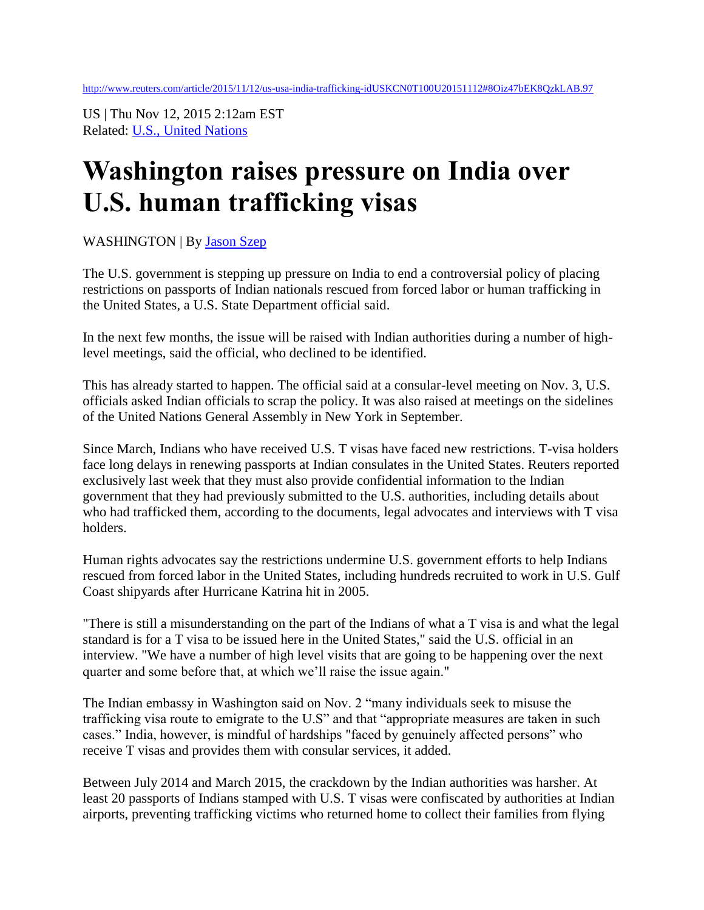US | Thu Nov 12, 2015 2:12am EST Related: [U.S., United Nations](http://www.reuters.com/news/us)

## **Washington raises pressure on India over U.S. human trafficking visas**

WASHINGTON | By [Jason Szep](http://blogs.reuters.com/search/journalist.php?edition=us&n=jason.szep&)

The U.S. government is stepping up pressure on India to end a controversial policy of placing restrictions on passports of Indian nationals rescued from forced labor or human trafficking in the United States, a U.S. State Department official said.

In the next few months, the issue will be raised with Indian authorities during a number of highlevel meetings, said the official, who declined to be identified.

This has already started to happen. The official said at a consular-level meeting on Nov. 3, U.S. officials asked Indian officials to scrap the policy. It was also raised at meetings on the sidelines of the United Nations General Assembly in New York in September.

Since March, Indians who have received U.S. T visas have faced new restrictions. T-visa holders face long delays in renewing passports at Indian consulates in the United States. Reuters reported exclusively last week that they must also provide confidential information to the Indian government that they had previously submitted to the U.S. authorities, including details about who had trafficked them, according to the documents, legal advocates and interviews with T visa holders.

Human rights advocates say the restrictions undermine U.S. government efforts to help Indians rescued from forced labor in the United States, including hundreds recruited to work in U.S. Gulf Coast shipyards after Hurricane Katrina hit in 2005.

"There is still a misunderstanding on the part of the Indians of what a T visa is and what the legal standard is for a T visa to be issued here in the United States," said the U.S. official in an interview. "We have a number of high level visits that are going to be happening over the next quarter and some before that, at which we'll raise the issue again."

The Indian embassy in Washington said on Nov. 2 "many individuals seek to misuse the trafficking visa route to emigrate to the U.S" and that "appropriate measures are taken in such cases." India, however, is mindful of hardships "faced by genuinely affected persons" who receive T visas and provides them with consular services, it added.

Between July 2014 and March 2015, the crackdown by the Indian authorities was harsher. At least 20 passports of Indians stamped with U.S. T visas were confiscated by authorities at Indian airports, preventing trafficking victims who returned home to collect their families from flying